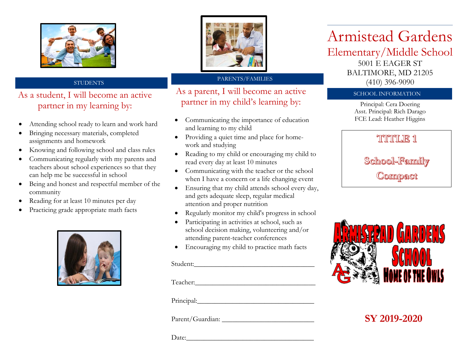

### **STUDENTS**

### As a student, I will become an active partner in my learning by:

- Attending school ready to learn and work hard
- Bringing necessary materials, completed assignments and homework
- Knowing and following school and class rules
- Communicating regularly with my parents and teachers about school experiences so that they can help me be successful in school
- Being and honest and respectful member of the community
- Reading for at least 10 minutes per day
- Practicing grade appropriate math facts





#### PARENTS/FAMILIES

As a parent, I will become an active partner in my child's learning by:

- Communicating the importance of education and learning to my child
- Providing a quiet time and place for homework and studying
- Reading to my child or encouraging my child to read every day at least 10 minutes
- Communicating with the teacher or the school when I have a concern or a life changing event
- Ensuring that my child attends school every day, and gets adequate sleep, regular medical attention and proper nutrition
- Regularly monitor my child's progress in school
- Participating in activities at school, such as school decision making, volunteering and/or attending parent-teacher conferences
- Encouraging my child to practice math facts

#### Student:

Teacher:

Principal:

Parent/Guardian: \_\_\_\_\_\_\_\_\_\_\_\_\_\_\_\_\_\_\_\_\_\_\_\_\_\_

Date:

# Armistead Gardens

Elementary/Middle School

5001 E EAGER ST BALTIMORE, MD 21205 (410) 396-9090

#### SCHOOL INFORMATION

Principal: Cera Doering Asst. Principal: Rich Darago FCE Lead: Heather Higgins

## TUTULE 1

School-Fannily Compact



## **SY 2019-2020**